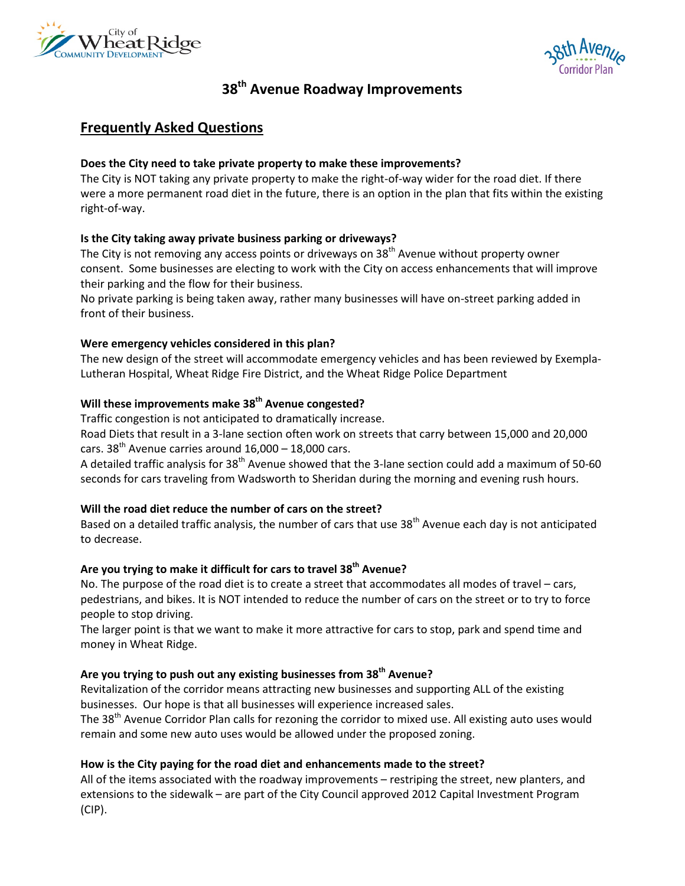



# **38th Avenue Roadway Improvements**

## **Frequently Asked Questions**

#### **Does the City need to take private property to make these improvements?**

The City is NOT taking any private property to make the right-of-way wider for the road diet. If there were a more permanent road diet in the future, there is an option in the plan that fits within the existing right-of-way.

#### **Is the City taking away private business parking or driveways?**

The City is not removing any access points or driveways on 38<sup>th</sup> Avenue without property owner consent. Some businesses are electing to work with the City on access enhancements that will improve their parking and the flow for their business.

No private parking is being taken away, rather many businesses will have on-street parking added in front of their business.

#### **Were emergency vehicles considered in this plan?**

The new design of the street will accommodate emergency vehicles and has been reviewed by Exempla-Lutheran Hospital, Wheat Ridge Fire District, and the Wheat Ridge Police Department

#### **Will these improvements make 38th Avenue congested?**

Traffic congestion is not anticipated to dramatically increase.

Road Diets that result in a 3-lane section often work on streets that carry between 15,000 and 20,000 cars.  $38^{th}$  Avenue carries around  $16,000 - 18,000$  cars.

A detailed traffic analysis for  $38<sup>th</sup>$  Avenue showed that the 3-lane section could add a maximum of 50-60 seconds for cars traveling from Wadsworth to Sheridan during the morning and evening rush hours.

#### **Will the road diet reduce the number of cars on the street?**

Based on a detailed traffic analysis, the number of cars that use 38<sup>th</sup> Avenue each day is not anticipated to decrease.

#### **Are you trying to make it difficult for cars to travel 38th Avenue?**

No. The purpose of the road diet is to create a street that accommodates all modes of travel – cars, pedestrians, and bikes. It is NOT intended to reduce the number of cars on the street or to try to force people to stop driving.

The larger point is that we want to make it more attractive for cars to stop, park and spend time and money in Wheat Ridge.

## **Are you trying to push out any existing businesses from 38th Avenue?**

Revitalization of the corridor means attracting new businesses and supporting ALL of the existing businesses. Our hope is that all businesses will experience increased sales.

The 38<sup>th</sup> Avenue Corridor Plan calls for rezoning the corridor to mixed use. All existing auto uses would remain and some new auto uses would be allowed under the proposed zoning.

## **How is the City paying for the road diet and enhancements made to the street?**

All of the items associated with the roadway improvements – restriping the street, new planters, and extensions to the sidewalk – are part of the City Council approved 2012 Capital Investment Program (CIP).